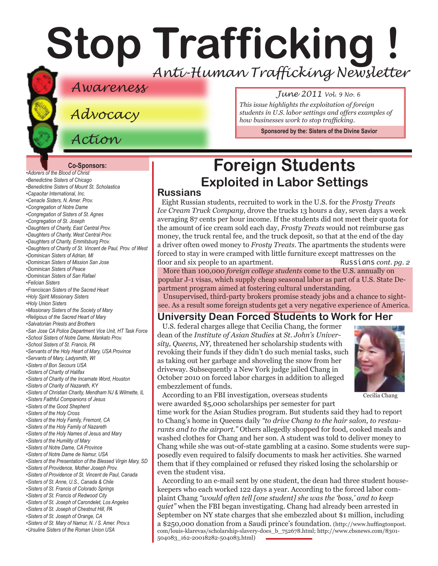# **Stop Trafficking !** *Anti-Human Trafficking Newsletter*

### *Awareness June 2011 Vol. 9 No. 6*

*Advocacy*

*Action*

*This issue highlights the exploitation of foreign students in U.S. labor settings and offers examples of how businesses work to stop trafficking.*

**Sponsored by the: [Sisters of the Divine Savior](http://sdssisters.org)**

#### **Co-Sponsors:**

*[•Adorers of the Blood of Christ](http://www.adorers.org/) •[Benedictine Sisters of Chicago](http://www.osbchicago.org/index.htm) [•Benedictine Sisters of Mount St. Scholastica](http://www.mountosb.org/index.html) [•Capacitar International, Inc.]( http://www.capacitar.org ) •[Cenacle Sisters, N. Amer. Prov.](http://www.cenaclesisters.org/) [•Congregation of Notre Dame](http://www.cnd-m.com/index.html) [•Congregation of Sisters of St. Agnes](http://www.csasisters.org/) •[Congregation of St. Joseph](http://www.scjoseph.org) [•Daughters of Charity, East Central Prov.](http://www.doc-ecp.org) [•Daughters of Charity, West Central Prov.](http://www.daughters-of-charity.org) •[Daughters of Charity, Emmitsburg Prov.](http://www.thedaughtersofcharity.org/) •[Daughters of Charity of St. Vincent de Paul, Prov. of West](http://www.daughtersofcharity.com) •[Dominican Sisters of Adrian, MI]( http://www.adriandominicans.org/ ) [•Dominican Sisters of Mission San Jose](http://www.msjdominicans.org/) •[Dominican Sisters of Peace](http://www.oppeace.org/ ) [•Dominican Sisters of San Rafael](http://www.sanrafaelop.org/) [•Felician](http://www.feliciansisters.org) Sisters [•Franciscan Sisters of](http://www.fssh.com/) the Sacred Heart •[Holy Spirit Missionary Sisters]( http://www.ssps-usa.org) [•Holy Union Sisters](http://www.holyunionsisters.org/) •[Missionary Sisters of the Society of Mary]( http://www.maristmissionarysmsm.org/) [•Religious of the Sacred Heart of Mary](http://www.rshm.org) •[Salvatorian Priests and Brothers]( http://www.salvatorians.org) •[San Jose CA Police Department Vice Unit, HT Task Force](http://www.sjpd.org/stopht) [•School Sisters of Notre Dame, Mankato Prov.](http://www.ssndmankato.org) •[School Sisters of St. Francis, PA]( http://www.schoolsistersosf.org ) [•Servants of the Holy Heart of Mary, USA Province](http://www.sscm-usa.org/) [•Servants of Mary, Ladysmith, WI](http://servitesisters.org) [•Sisters of Bon Secours USA](http://www.bonsecours.org/us) [•Sisters of Charity of Halifax](http://www.schalifax.ca) [•Sisters of Charity of the Incarnate Word, Houston](http://www.sistersofcharity.org) [•Sisters of Charity of Nazareth, KY](http://www.scnfamily.org/) •Sisters of [Christian Charity, Mendham](http://www.scceast.org) NJ [& Wilmette, IL](http://www.sccwilmette.org)  [•Sisters Faithful Companions of Jesus](http://www.fcjsisters.org) •[Sisters of the Good Shepherd]( http://www.goodshepherdsisters.org/) •[Sisters of the Holy Cross](http://www.cscsisters.org/) [•Sisters of the Holy Family, Fremont, CA](http://www.holyfamilysisters.org/) •[Sisters of the Holy Family of Nazareth](http://www.nazarethcsfn.org/) [•Sisters of the Holy Names of Jesus and Mary](http://www.snjm.org/) [•Sisters of the Humility of Mary](http://www.humilityofmary.org) •[Sisters of Notre Dame, CA Province](http://www.sndca.org/) [•Sisters of Notre Dame](http://www.sndden.org/) de Namur, USA •[Sisters of the Presentation of the Blessed Virgin Mary, SD](http://www.presentationsisters.org/) [•Sisters of Providence, Mother Joseph Prov.](http://www.sistersofprovidence.net) [•Sisters of Providence of St. Vincent de Paul, Canada](http://www.providence.ca) [•Sisters of St. Anne, U.S., Canada & Chile](http://sistersofsaintanne.org/) [•Sisters of St. Francis of Colorado Springs](http://www.stfrancis.org) [•Sisters of St. Francis of Redwood City](http://www.stfrancisprovince.org) [•Sisters of St. Joseph of Carondelet, Los Angeles](http://www.csjla.org) [•Sisters of St. Joseph of](http://www.ssjphila.org/) Chestnut Hill, PA [•Sisters of St. Joseph of Orange, CA](http://www.sistersofstjosephorange.org/) •[Sisters of St. Mary of Namur, N. / S. Amer. Prov.s](http://www.ssmn-e.com) •[Ursuline Sisters of the Roman Union USA](http://usaromanunionursulines.org/)*

### **Foreign Students Exploited in Labor Settings**

#### **Russians**

Eight Russian students, recruited to work in the U.S. for the *Frosty Treats Ice Cream Truck Company*, drove the trucks 13 hours a day, seven days a week averaging 87 cents per hour income. If the students did not meet their quota for the amount of ice cream sold each day, *Frosty Treats* would not reimburse gas money, the truck rental fee, and the truck deposit, so that at the end of the day a driver often owed money to *Frosty Treats*. The apartments the students were forced to stay in were cramped with little furniture except mattresses on the floor and six people to an apartment. Russians *cont. pg. 2* 

More than 100,000 *foreign college students* come to the U.S. annually on popular J-1 visas, which supply cheap seasonal labor as part of a U.S. State Department program aimed at fostering cultural understanding.

Unsupervised, third-party brokers promise steady jobs and a chance to sightsee. As a result some foreign students get a very negative experience of America.

#### **University Dean Forced Students to Work for Her**

U.S. federal charges allege that Cecilia Chang, the former dean of the *Institute of Asian Studies* at *St. John's University, Queens, NY,* threatened her scholarship students with revoking their funds if they didn't do such menial tasks, such as taking out her garbage and shoveling the snow from her driveway. Subsequently a New York judge jailed Chang in October 2010 on forced labor charges in addition to alleged embezzlement of funds.



According to an FBI investigation, overseas students were awarded \$5,000 scholarships per semester for part

time work for the Asian Studies program. But students said they had to report to Chang's home in Queens daily *"to drive Chang to the hair salon, to restaurants and to the airport."* Others allegedly shopped for food, cooked meals and washed clothes for Chang and her son. A student was told to deliver money to Chang while she was out-of-state gambling at a casino. Some students were supposedly even required to falsify documents to mask her activities. She warned them that if they complained or refused they risked losing the scholarship or even the student visa.

According to an e-mail sent by one student, the dean had three student housekeepers who each worked 122 days a year. According to the forced labor complaint Chang *"would often tell [one student] she was the 'boss,' and to keep quiet"* when the FBI began investigating. Chang had already been arrested in September on NY state charges that she embezzled about \$1 million, including a \$250,000 donation from a Saudi prince's foundation. (http://www.huffingtonpost. com/louis-klarevas/scholarship-slavery-does\_b\_752678.html; http://www.cbsnews.com/8301- 504083\_162-20018282-504083.html)

Cecilia Chang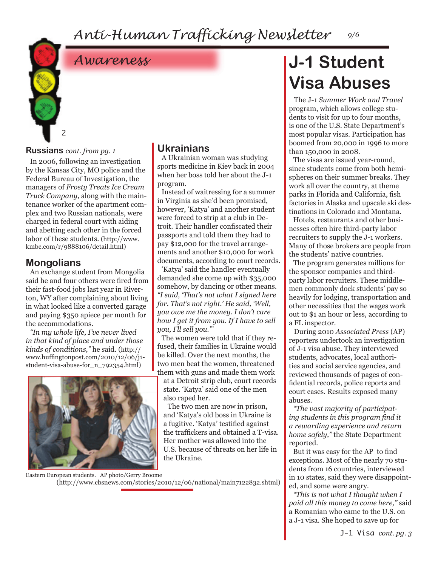*Anti-Human Trafficking Newsletter 9/6*



#### **Russians** *cont. from pg. 1*

In 2006, following an investigation by the Kansas City, MO police and the Federal Bureau of Investigation, the managers of *Frosty Treats Ice Cream Truck Company*, along with the maintenance worker of the apartment complex and two Russian nationals, were charged in federal court with aiding and abetting each other in the forced labor of these students. (http://www. kmbc.com/r/9888106/detail.html)

### **Mongolians**

An exchange student from Mongolia said he and four others were fired from their fast-food jobs last year in Riverton, WY after complaining about living in what looked like a converted garage and paying \$350 apiece per month for the accommodations.

*"In my whole life, I've never lived in that kind of place and under those kinds of conditions,"* he *s*aid. (http:// www.huffingtonpost.com/2010/12/06/j1 student-visa-abuse-for\_n\_792354.html)



#### **Ukrainians**

A Ukrainian woman was studying sports medicine in Kiev back in 2004 when her boss told her about the J-1 program.

Instead of waitressing for a summer in Virginia as she'd been promised, however, 'Katya' and another student were forced to strip at a club in Detroit. Their handler confiscated their passports and told them they had to pay \$12,000 for the travel arrangements and another \$10,000 for work documents, according to court records.

'Katya' said the handler eventually demanded she come up with \$35,000 somehow, by dancing or other means. *"I said, 'That's not what I signed here for. That's not right.' He said, 'Well, you owe me the money. I don't care how I get it from you. If I have to sell you, I'll sell you.'"*

The women were told that if they refused, their families in Ukraine would be killed. Over the next months, the two men beat the women, threatened them with guns and made them work at a Detroit strip club, court records state. 'Katya' said one of the men also raped her.

The two men are now in prison, and 'Katya's old boss in Ukraine is a fugitive. 'Katya' testified against the traffickers and obtained a T-visa. Her mother was allowed into the U.S. because of threats on her life in the Ukraine.

Eastern European students. AP photo/Gerry Broome (http://www.cbsnews.com/stories/2010/12/06/national/main7122832.shtml)

## *Awareness* **J-1 Student Visa Abuses**

The J-1 *Summer Work and Travel*  program, which allows college students to visit for up to four months, is one of the U.S. State Department's most popular visas. Participation has boomed from 20,000 in 1996 to more than 150,000 in 2008.

The visas are issued year-round, since students come from both hemispheres on their summer breaks. They work all over the country, at theme parks in Florida and California, fish factories in Alaska and upscale ski destinations in Colorado and Montana.

Hotels, restaurants and other businesses often hire third-party labor recruiters to supply the J-1 workers. Many of those brokers are people from the students' native countries.

The program generates millions for the sponsor companies and thirdparty labor recruiters. These middlemen commonly dock students' pay so heavily for lodging, transportation and other necessities that the wages work out to \$1 an hour or less, according to a FL inspector.

During 2010 *Associated Press* (AP) reporters undertook an investigation of J-1 visa abuse. They interviewed students, advocates, local authorities and social service agencies, and reviewed thousands of pages of confidential records, police reports and court cases. Results exposed many abuses.

*"The vast majority of participating students in this program find it a rewarding experience and return home safely,"* the State Department reported.

But it was easy for the AP to find exceptions. Most of the nearly 70 students from 16 countries, interviewed in 10 states, said they were disappointed, and some were angry.

*"This is not what I thought when I paid all this money to come here,"* said a Romanian who came to the U.S. on a J-1 visa. She hoped to save up for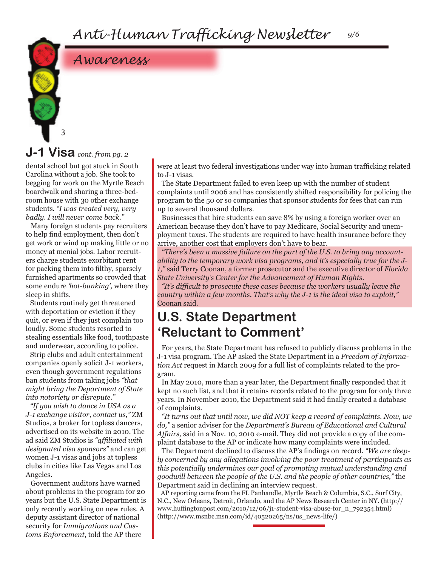## *Awareness*

### **J-1 Visa** *cont. from pg. 2*

3

dental school but got stuck in South Carolina without a job. She took to begging for work on the Myrtle Beach boardwalk and sharing a three-bedroom house with 30 other exchange students. *"I was treated very, very badly. I will never come back."*

Many foreign students pay recruiters to help find employment, then don't get work or wind up making little or no money at menial jobs. Labor recruiters charge students exorbitant rent for packing them into filthy, sparsely furnished apartments so crowded that some endure *'hot-bunking',* where they sleep in shifts.

Students routinely get threatened with deportation or eviction if they quit, or even if they just complain too loudly. Some students resorted to stealing essentials like food, toothpaste and underwear, according to police.

Strip clubs and adult entertainment companies openly solicit J-1 workers, even though government regulations ban students from taking jobs *"that might bring the Department of State into notoriety or disrepute."*

*"If you wish to dance in USA as a J-1 exchange visitor, contact us,"* ZM Studios, a broker for topless dancers, advertised on its website in 2010. The ad said ZM Studios is *"affiliated with designated visa sponsors"* and can get women J-1 visas and jobs at topless clubs in cities like Las Vegas and Los Angeles.

Government auditors have warned about problems in the program for 20 years but the U.S. State Department is only recently working on new rules. A deputy assistant director of national security for *Immigrations and Customs Enforcement*, told the AP there

were at least two federal investigations under way into human trafficking related to J-1 visas.

The State Department failed to even keep up with the number of student complaints until 2006 and has consistently shifted responsibility for policing the program to the 50 or so companies that sponsor students for fees that can run up to several thousand dollars.

Businesses that hire students can save 8% by using a foreign worker over an American because they don't have to pay Medicare, Social Security and unemployment taxes. The students are required to have health insurance before they arrive, another cost that employers don't have to bear.

*"There's been a massive failure on the part of the U.S. to bring any accountability to the temporary work visa programs, and it's especially true for the J-1,"* said Terry Coonan, a former prosecutor and the executive director of *Florida State University's Center for the Advancement of Human Rights.*

*"It's difficult to prosecute these cases because the workers usually leave the country within a few months. That's why the J-1 is the ideal visa to exploit,"* Coonan said.

### **U.S. State Department 'Reluctant to Comment'**

For years, the State Department has refused to publicly discuss problems in the J-1 visa program. The AP asked the State Department in a *Freedom of Information Act* request in March 2009 for a full list of complaints related to the program.

In May 2010, more than a year later, the Department finally responded that it kept no such list, and that it retains records related to the program for only three years. In November 2010, the Department said it had finally created a database of complaints.

*"It turns out that until now, we did NOT keep a record of complaints. Now, we do,"* a senior adviser for the *Department's Bureau of Educational and Cultural Affairs,* said in a Nov. 10, 2010 e-mail. They did not provide a copy of the complaint database to the AP or indicate how many complaints were included.

The Department declined to discuss the AP's findings on record. *"We are deeply concerned by any allegations involving the poor treatment of participants as this potentially undermines our goal of promoting mutual understanding and goodwill between the people of the U.S. and the people of other countries,"* the Department said in declining an interview request.

AP reporting came from the FL Panhandle, Myrtle Beach & Columbia, S.C., Surf City, N.C., New Orleans, Detroit, Orlando, and the AP News Research Center in NY. (http:// www.huffingtonpost.com/2010/12/06/j1-student-visa-abuse-for\_n\_792354.html) (http://www.msnbc.msn.com/id/40520265/ns/us\_news-life/)

*9/6*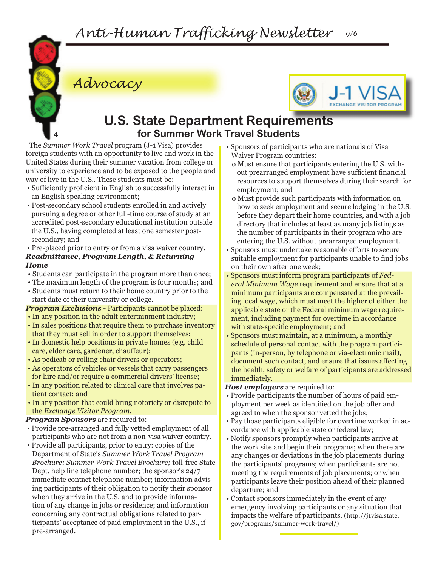

*Advocacy*



### **U.S. State Department Requirements for Summer Work Travel Students**

The *Summer Work Travel* program (J-1 Visa) provides foreign students with an opportunity to live and work in the United States during their summer vacation from college or university to experience and to be exposed to the people and way of live in the U.S.. These students must be:

- Sufficiently proficient in English to successfully interact in an English speaking environment;
- Post-secondary school students enrolled in and actively pursuing a degree or other full-time course of study at an accredited post-secondary educational institution outside the U.S., having completed at least one semester postsecondary; and

• Pre-placed prior to entry or from a visa waiver country. *Readmittance, Program Length, & Returning Home*

- Students can participate in the program more than once;
- The maximum length of the program is four months; and
- Students must return to their home country prior to the start date of their university or college.

*Program Exclusions - Participants cannot be placed:* • In any position in the adult entertainment industry;

- In sales positions that require them to purchase inventory that they must sell in order to support themselves;
- In domestic help positions in private homes (e.g. child care, elder care, gardener, chauffeur);
- As pedicab or rolling chair drivers or operators;
- As operators of vehicles or vessels that carry passengers for hire and/or require a commercial drivers' license;
- In any position related to clinical care that involves patient contact; and
- In any position that could bring notoriety or disrepute to the *Exchange Visitor Program.*

#### *Program Sponsors* are required to:

- Provide pre-arranged and fully vetted employment of all participants who are not from a non-visa waiver country.
- Provide all participants, prior to entry: copies of the Department of State's *Summer Work Travel Program Brochure; Summer Work Travel Brochure;* toll-free State Dept. help line telephone number; the sponsor's 24/7 immediate contact telephone number; information advising participants of their obligation to notify their sponsor when they arrive in the U.S. and to provide information of any change in jobs or residence; and information concerning any contractual obligations related to participants' acceptance of paid employment in the U.S., if pre-arranged.
- Sponsors of participants who are nationals of Visa Waiver Program countries:
	- o Must ensure that participants entering the U.S. without prearranged employment have sufficient financial resources to support themselves during their search for employment; and
	- o Must provide such participants with information on how to seek employment and secure lodging in the U.S. before they depart their home countries, and with a job directory that includes at least as many job listings as the number of participants in their program who are entering the U.S. without prearranged employment.
- Sponsors must undertake reasonable efforts to secure suitable employment for participants unable to find jobs on their own after one week;
- Sponsors must inform program participants of *Federal Minimum Wage* requirement and ensure that at a minimum participants are compensated at the prevailing local wage, which must meet the higher of either the applicable state or the Federal minimum wage requirement, including payment for overtime in accordance with state-specific employment; and
- Sponsors must maintain, at a minimum, a monthly schedule of personal contact with the program participants (in-person, by telephone or via-electronic mail), document such contact, and ensure that issues affecting the health, safety or welfare of participants are addressed immediately.

*Host employers* are required to:

- Provide participants the number of hours of paid employment per week as identified on the job offer and agreed to when the sponsor vetted the jobs;
- Pay those participants eligible for overtime worked in accordance with applicable state or federal law;
- Notify sponsors promptly when participants arrive at the work site and begin their programs; when there are any changes or deviations in the job placements during the participants' programs; when participants are not meeting the requirements of job placements; or when participants leave their position ahead of their planned departure; and
- Contact sponsors immediately in the event of any emergency involving participants or any situation that impacts the welfare of participants. (http://j1visa.state. gov/programs/summer-work-travel/)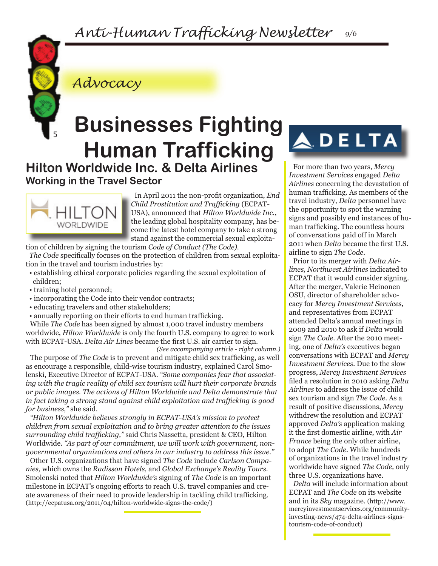### *Anti-Human Trafficking Newsletter 9/6*



*Advocacy*

## **Hilton Worldwide Inc. & Delta Airlines Businesses Fighting Human Trafficking**

**Working in the Travel Sector**



In April 2011 the non-profit organization, *End Child Prostitution and Trafficking* (ECPAT-USA), announced that *Hilton Worldwide Inc.*, the leading global hospitality company, has become the latest hotel company to take a strong stand against the commercial sexual exploita-

tion of children by signing the tourism *Code of Conduct (The Code).* 

*The Code* specifically focuses on the protection of children from sexual exploitation in the travel and tourism industries by:

- establishing ethical corporate policies regarding the sexual exploitation of children;
- training hotel personnel;
- incorporating the Code into their vendor contracts;
- educating travelers and other stakeholders;
- annually reporting on their efforts to end human trafficking.

While *The Code* has been signed by almost 1,000 travel industry members worldwide, *Hilton Worldwide* is only the fourth U.S. company to agree to work with ECPAT-USA. *Delta Air Lines* became the first U.S. air carrier to sign.

*(See accompanying article - right column.)* The purpose of *The Code* is to prevent and mitigate child sex trafficking, as well as encourage a responsible, child-wise tourism industry, explained Carol Smolenski, Executive Director of ECPAT-USA. *"Some companies fear that associating with the tragic reality of child sex tourism will hurt their corporate brands or public images. The actions of Hilton Worldwide and Delta demonstrate that in fact taking a strong stand against child exploitation and trafficking is good for business,"* she said.

*"Hilton Worldwide believes strongly in ECPAT-USA's mission to protect children from sexual exploitation and to bring greater attention to the issues surrounding child trafficking,"* said Chris Nassetta, president & CEO, Hilton Worldwide. *"As part of our commitment, we will work with government, nongovernmental organizations and others in our industry to address this issue."*

Other U.S. organizations that have signed *The Code* include *Carlson Companies,* which owns the *Radisson Hotels,* and *Global Exchange's Reality Tours.*  Smolenski noted that *Hilton Worldwide's* signing of *The Code* is an important milestone in ECPAT's ongoing efforts to reach U.S. travel companies and create awareness of their need to provide leadership in tackling child trafficking. (http://ecpatusa.org/2011/04/hilton-worldwide-signs-the-code/)

## **ADELTA**

For more than two years, *Mercy Investment Services* engaged *Delta Airlines* concerning the devastation of human trafficking. As members of the travel industry, *Delta* personnel have the opportunity to spot the warning signs and possibly end instances of human trafficking. The countless hours of conversations paid off in March 2011 when *Delta* became the first U.S. airline to sign *The Code.* 

Prior to its merger with *Delta Airlines, Northwest Airlines* indicated to ECPAT that it would consider signing. After the merger, Valerie Heinonen OSU, director of shareholder advocacy for *Mercy Investment Services,* and representatives from ECPAT attended Delta's annual meetings in 2009 and 2010 to ask if *Delta* would sign *The Code*. After the 2010 meeting, one of *Delta's* executives began conversations with ECPAT and *Mercy Investment Services.* Due to the slow progress, *Mercy Investment Services* filed a resolution in 2010 asking *Delta Airlines* to address the issue of child sex tourism and sign *The Code*. As a result of positive discussions, *Mercy* withdrew the resolution and ECPAT approved *Delta's* application making it the first domestic airline, with *Air France* being the only other airline, to adopt *The Code.* While hundreds of organizations in the travel industry worldwide have signed *The Code,* only three U.S. organizations have.

*Delta* will include information about ECPAT and *The Code* on its website and in its *Sky* magazine. (http://www. mercyinvestmentservices.org/communityinvesting-news/474-delta-airlines-signstourism-code-of-conduct)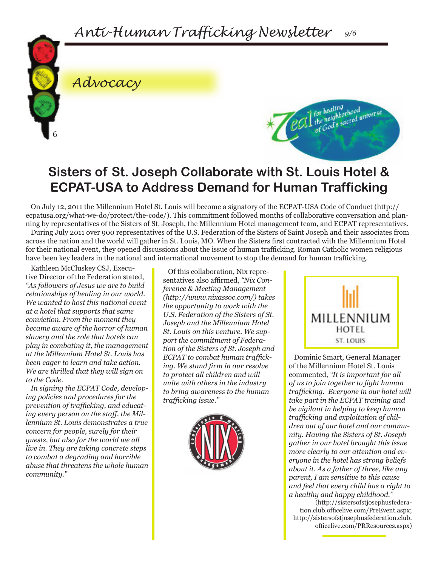

### *Advocacy*



### **Sisters of St. Joseph Collaborate with St. Louis Hotel & ECPAT-USA to Address Demand for Human Trafficking**

On July 12, 2011 the Millennium Hotel St. Louis will become a signatory of the ECPAT-USA Code of Conduct (http:// ecpatusa.org/what-we-do/protect/the-code/). This commitment followed months of collaborative conversation and planning by representatives of the Sisters of St. Joseph, the Millennium Hotel management team, and ECPAT representatives.

During July 2011 over 900 representatives of the U.S. Federation of the Sisters of Saint Joseph and their associates from across the nation and the world will gather in St. Louis, MO. When the Sisters first contracted with the Millennium Hotel for their national event, they opened discussions about the issue of human trafficking. Roman Catholic women religious have been key leaders in the national and international movement to stop the demand for human trafficking.

Kathleen McCluskey CSJ, Executive Director of the Federation stated, *"As followers of Jesus we are to build relationships of healing in our world. We wanted to host this national event at a hotel that supports that same conviction. From the moment they became aware of the horror of human slavery and the role that hotels can play in combating it, the management at the Millennium Hotel St. Louis has been eager to learn and take action. We are thrilled that they will sign on to the Code.*

*In signing the ECPAT Code, developing policies and procedures for the prevention of trafficking, and educating every person on the staff, the Millennium St. Louis demonstrates a true concern for people, surely for their guests, but also for the world we all live in. They are taking concrete steps to combat a degrading and horrible abuse that threatens the whole human community."*

Of this collaboration, Nix representatives also affirmed, *"Nix Conference & Meeting Management (http://www.nixassoc.com/) takes the opportunity to work with the U.S. Federation of the Sisters of St. Joseph and the Millennium Hotel St. Louis on this venture. We support the commitment of Federation of the Sisters of St. Joseph and ECPAT to combat human trafficking. We stand firm in our resolve to protect all children and will unite with others in the industry to bring awareness to the human trafficking issue."*





Dominic Smart, General Manager of the Millennium Hotel St. Louis commented, *"It is important for all of us to join together to fight human trafficking. Everyone in our hotel will take part in the ECPAT training and be vigilant in helping to keep human trafficking and exploitation of children out of our hotel and our community. Having the Sisters of St. Joseph gather in our hotel brought this issue more clearly to our attention and everyone in the hotel has strong beliefs about it. As a father of three, like any parent, I am sensitive to this cause and feel that every child has a right to a healthy and happy childhood."* 

(http://sistersofstjosephusfederation.club.officelive.com/PreEvent.aspx; http://sistersofstjosephusfederation.club. officelive.com/PRResources.aspx)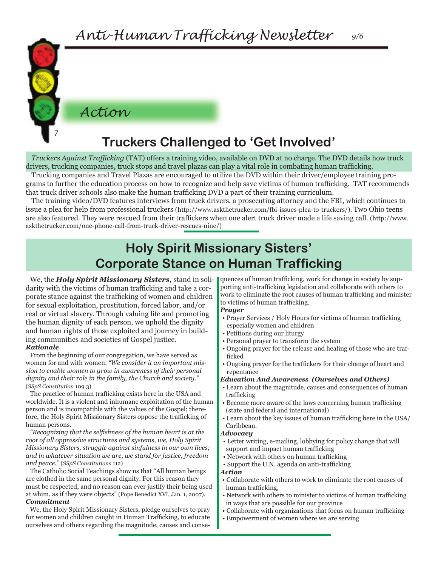*Action*

7

### **Truckers Challenged to 'Get Involved'**

*Truckers Against Trafficking* (TAT) offers a training video, available on DVD at no charge. The DVD details how truck drivers, trucking companies, truck stops and travel plazas can play a vital role in combating human trafficking.

Trucking companies and Travel Plazas are encouraged to utilize the DVD within their driver/employee training programs to further the education process on how to recognize and help save victims of human trafficking. TAT recommends that truck driver schools also make the human trafficking DVD a part of their training curriculum.

The training video/DVD features interviews from truck drivers, a prosecuting attorney and the FBI, which continues to issue a plea for help from professional truckers (http://www.askthetrucker.com/fbi-issues-plea-to-truckers/). Two Ohio teens are also featured. They were rescued from their traffickers when one alert truck driver made a life saving call. (http://www. askthetrucker.com/one-phone-call-from-truck-driver-rescues-nine/)

### **Holy Spirit Missionary Sisters' Corporate Stance on Human Trafficking**

We, the *Holy Spirit Missionary Sisters,* stand in solidarity with the victims of human trafficking and take a corporate stance against the trafficking of women and children for sexual exploitation, prostitution, forced labor, and/or real or virtual slavery. Through valuing life and promoting the human dignity of each person, we uphold the dignity and human rights of those exploited and journey in building communities and societies of Gospel justice. *Rationale*

From the beginning of our congregation, we have served as women for and with women. *"We consider it an important mission to enable women to grow in awareness of their personal dignity and their role in the family, the Church and society."* (*SSpS Constitution* 109.3)

The practice of human trafficking exists here in the USA and worldwide. It is a violent and inhumane exploitation of the human person and is incompatible with the values of the Gospel; therefore, the Holy Spirit Missionary Sisters oppose the trafficking of human persons.

*"Recognizing that the selfishness of the human heart is at the root of all oppressive structures and systems, we, Holy Spirit Missionary Sisters, struggle against sinfulness in our own lives; and in whatever situation we are, we stand for justice, freedom and peace."* (*SSpS Constitutions* 112)

The Catholic Social Teachings show us that "All human beings are clothed in the same personal dignity. For this reason they must be respected, and no reason can ever justify their being used at whim, as if they were objects" (Pope Benedict XVI, Jan. 1, 2007). *Commitment*

We, the Holy Spirit Missionary Sisters, pledge ourselves to pray for women and children caught in Human Trafficking, to educate ourselves and others regarding the magnitude, causes and consequences of human trafficking, work for change in society by supporting anti-trafficking legislation and collaborate with others to work to eliminate the root causes of human trafficking and minister to victims of human trafficking.

#### *Prayer*

- Prayer Services / Holy Hours for victims of human trafficking especially women and children
- Petitions during our liturgy
- Personal prayer to transform the system
- Ongoing prayer for the release and healing of those who are trafficked
- Ongoing prayer for the traffickers for their change of heart and repentance

#### *Education And Awareness (Ourselves and Others)*

- Learn about the magnitude, causes and consequences of human trafficking
- Become more aware of the laws concerning human trafficking (state and federal and international)
- Learn about the key issues of human trafficking here in the USA/ Caribbean.

#### *Advocacy*

- Letter writing, e-mailing, lobbying for policy change that will support and impact human trafficking
- Network with others on human trafficking
- Support the U.N. agenda on anti-trafficking

#### *Action*

- Collaborate with others to work to eliminate the root causes of human trafficking,
- Network with others to minister to victims of human trafficking in ways that are possible for our province
- Collaborate with organizations that focus on human trafficking
- Empowerment of women where we are serving